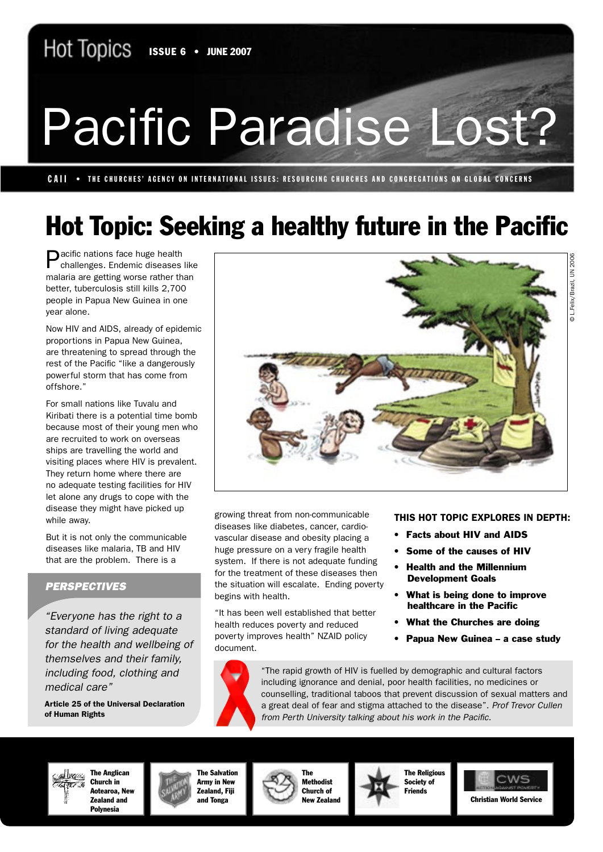# Pacific Paradise Lost?

CAII • THE CHURCHES' AGENCY ON INTERNATIONAL ISSUES: RESOURCING CHURCHES AND CONGREGATIONS ON GLOBAL CONCERNS

# Hot Topic: Seeking a healthy future in the Pacific

**Pacific nations face huge health** challenges. Endemic diseases like malaria are getting worse rather than better, tuberculosis still kills 2,700 people in Papua New Guinea in one year alone.

Now HIV and AIDS, already of epidemic proportions in Papua New Guinea, are threatening to spread through the rest of the Pacific "like a dangerously powerful storm that has come from offshore."

For small nations like Tuvalu and Kiribati there is a potential time bomb because most of their young men who are recruited to work on overseas ships are travelling the world and visiting places where HIV is prevalent. They return home where there are no adequate testing facilities for HIV let alone any drugs to cope with the disease they might have picked up while away.

But it is not only the communicable diseases like malaria, TB and HIV that are the problem. There is a

### **PERSPECTIVES**

"Everyone has the right to a standard of living adequate for the health and wellbeing of themselves and their family, including food, clothing and medical care"

Article 25 of the Universal Declaration of Human Rights



growing threat from non-communicable diseases like diabetes, cancer, cardiovascular disease and obesity placing a huge pressure on a very fragile health system. If there is not adequate funding for the treatment of these diseases then the situation will escalate. Ending poverty begins with health.

"It has been well established that better health reduces poverty and reduced poverty improves health" NZAID policy document.

THIS HOT TOPIC EXPLORES IN DEPTH:

- Facts about HIV and AIDS
- Some of the causes of HIV
- Health and the Millennium Development Goals
- What is being done to improve healthcare in the Pacific
- What the Churches are doing
- Papua New Guinea a case study

"The rapid growth of HIV is fuelled by demographic and cultural factors including ignorance and denial, poor health facilities, no medicines or counselling, traditional taboos that prevent discussion of sexual matters and a great deal of fear and stigma attached to the disease". Prof Trevor Cullen from Perth University talking about his work in the Pacific.



The Anglican Church in Aotearoa, New Zealand and Polynesia

The Salvation Army in New Zealand, Fiji and Tonga



The Methodist Church of New Zealand



Christian World Service

Hot Topics • Topic 3 • June 2007 • 1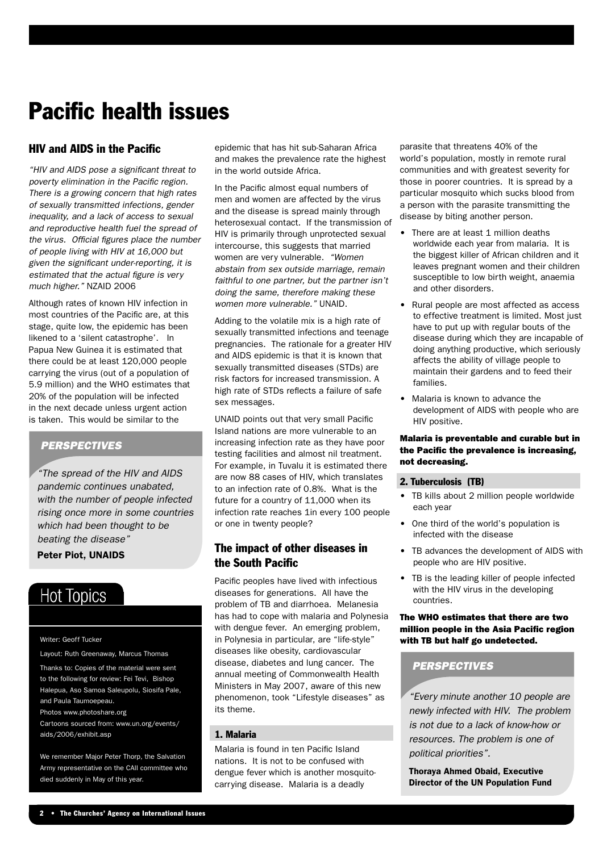# Pacific health issues

### HIV and AIDS in the Pacific

"HIV and AIDS pose a significant threat to poverty elimination in the Pacific region. There is a growing concern that high rates of sexually transmitted infections, gender inequality, and a lack of access to sexual and reproductive health fuel the spread of the virus. Official figures place the number of people living with HIV at 16,000 but given the significant under-reporting, it is estimated that the actual figure is very much higher." NZAID 2006

Although rates of known HIV infection in most countries of the Pacific are, at this stage, quite low, the epidemic has been likened to a 'silent catastrophe'. In Papua New Guinea it is estimated that there could be at least 120,000 people carrying the virus (out of a population of 5.9 million) and the WHO estimates that 20% of the population will be infected in the next decade unless urgent action is taken. This would be similar to the

### **PERSPECTIVES**

"The spread of the HIV and AIDS pandemic continues unabated, with the number of people infected rising once more in some countries which had been thought to be beating the disease"

### Peter Piot, UNAIDS

### **Hot Topics**

Writer: Geoff Tucker

Layout: Ruth Greenaway, Marcus Thomas Thanks to: Copies of the material were sent to the following for review: Fei Tevi, Bishop Halepua, Aso Samoa Saleupolu, Siosifa Pale, and Paula Taumoepeau. Photos www.photoshare.org Cartoons sourced from: www.un.org/events/ aids/2006/exhibit.asp

We remember Major Peter Thorp, the Salvation Army representative on the CAII committee who died suddenly in May of this year.

epidemic that has hit sub-Saharan Africa and makes the prevalence rate the highest in the world outside Africa.

In the Pacific almost equal numbers of men and women are affected by the virus and the disease is spread mainly through heterosexual contact. If the transmission of HIV is primarily through unprotected sexual intercourse, this suggests that married women are very vulnerable. "Women abstain from sex outside marriage, remain faithful to one partner, but the partner isn't doing the same, therefore making these women more vulnerable." UNAID.

Adding to the volatile mix is a high rate of sexually transmitted infections and teenage pregnancies. The rationale for a greater HIV and AIDS epidemic is that it is known that sexually transmitted diseases (STDs) are risk factors for increased transmission. A high rate of STDs reflects a failure of safe sex messages.

UNAID points out that very small Pacific Island nations are more vulnerable to an increasing infection rate as they have poor testing facilities and almost nil treatment. For example, in Tuvalu it is estimated there are now 88 cases of HIV, which translates to an infection rate of 0.8%. What is the future for a country of 11,000 when its infection rate reaches 1in every 100 people or one in twenty people?

### The impact of other diseases in the South Pacific

Pacific peoples have lived with infectious diseases for generations. All have the problem of TB and diarrhoea. Melanesia has had to cope with malaria and Polynesia with dengue fever. An emerging problem, in Polynesia in particular, are "life-style" diseases like obesity, cardiovascular disease, diabetes and lung cancer. The annual meeting of Commonwealth Health Ministers in May 2007, aware of this new phenomenon, took "Lifestyle diseases" as its theme.

### 1. Malaria

Malaria is found in ten Pacific Island nations. It is not to be confused with dengue fever which is another mosquitocarrying disease. Malaria is a deadly

parasite that threatens 40% of the world's population, mostly in remote rural communities and with greatest severity for those in poorer countries. It is spread by a particular mosquito which sucks blood from a person with the parasite transmitting the disease by biting another person.

- There are at least 1 million deaths worldwide each year from malaria. It is the biggest killer of African children and it leaves pregnant women and their children susceptible to low birth weight, anaemia and other disorders.
- Rural people are most affected as access to effective treatment is limited. Most just have to put up with regular bouts of the disease during which they are incapable of doing anything productive, which seriously affects the ability of village people to maintain their gardens and to feed their families.
- Malaria is known to advance the development of AIDS with people who are HIV positive.

### Malaria is preventable and curable but in the Pacific the prevalence is increasing, not decreasing.

#### 2. Tuberculosis (TB)

- TB kills about 2 million people worldwide each year
- One third of the world's population is infected with the disease
- TB advances the development of AIDS with people who are HIV positive.
- TB is the leading killer of people infected with the HIV virus in the developing countries.

### The WHO estimates that there are two million people in the Asia Pacific region with TB but half go undetected.

### **PERSPECTIVES**

"Every minute another 10 people are newly infected with HIV. The problem is not due to a lack of know-how or resources. The problem is one of political priorities".

Thoraya Ahmed Obaid, Executive Director of the UN Population Fund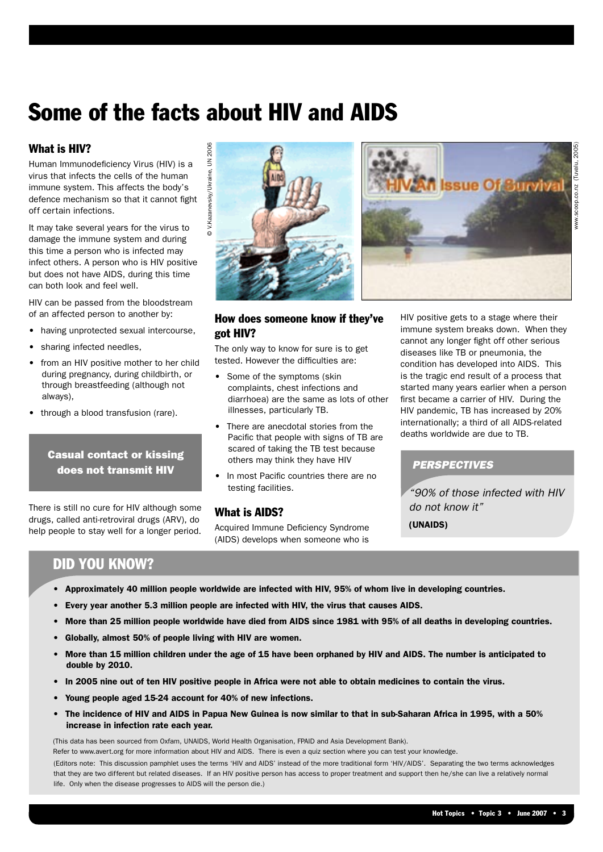# Some of the facts about HIV and AIDS

### What is HIV?

Human Immunodeficiency Virus (HIV) is a virus that infects the cells of the human immune system. This affects the body's defence mechanism so that it cannot fight off certain infections.

It may take several years for the virus to damage the immune system and during this time a person who is infected may infect others. A person who is HIV positive but does not have AIDS, during this time can both look and feel well. **HIV?**<br>
infects the cells of the human<br>
infection relists of the human<br>
infections.<br>
Insegnation rate in the state of the buman<br>
infections.<br>
the immune system and during<br>
a person who is infected may<br>
a person who is infe

HIV can be passed from the bloodstream of an affected person to another by:

- having unprotected sexual intercourse,
- sharing infected needles,
- from an HIV positive mother to her child during pregnancy, during childbirth, or through breastfeeding (although not always),
- through a blood transfusion (rare).

### Casual contact or kissing does not transmit HIV

There is still no cure for HIV although some drugs, called anti-retroviral drugs (ARV), do help people to stay well for a longer period.





www.scoop.co.nz (Tuvalu, 2005)

### How does someone know if they've got HIV?

The only way to know for sure is to get tested. However the difficulties are:

- Some of the symptoms (skin complaints, chest infections and diarrhoea) are the same as lots of other illnesses, particularly TB.
- There are anecdotal stories from the Pacific that people with signs of TB are scared of taking the TB test because others may think they have HIV
- In most Pacific countries there are no testing facilities.

### What is AIDS?

Acquired Immune Deficiency Syndrome (AIDS) develops when someone who is

HIV positive gets to a stage where their immune system breaks down. When they cannot any longer fight off other serious diseases like TB or pneumonia, the condition has developed into AIDS. This is the tragic end result of a process that started many years earlier when a person first became a carrier of HIV. During the HIV pandemic, TB has increased by 20% internationally; a third of all AIDS-related deaths worldwide are due to TB.

### **PERSPECTIVES**

"90% of those infected with HIV do not know it"

(UNAIDS)

### DID YOU KNOW?

- Approximately 40 million people worldwide are infected with HIV, 95% of whom live in developing countries.
- Every year another 5.3 million people are infected with HIV, the virus that causes AIDS.
- More than 25 million people worldwide have died from AIDS since 1981 with 95% of all deaths in developing countries.
- Globally, almost 50% of people living with HIV are women.
- More than 15 million children under the age of 15 have been orphaned by HIV and AIDS. The number is anticipated to double by 2010.
- In 2005 nine out of ten HIV positive people in Africa were not able to obtain medicines to contain the virus.
- Young people aged 15-24 account for 40% of new infections.
- The incidence of HIV and AIDS in Papua New Guinea is now similar to that in sub-Saharan Africa in 1995, with a 50%

(This data has been sourced from Oxfam, UNAIDS, World Health Organisation, FPAID and Asia Development Bank).

Refer to www.avert.org for more information about HIV and AIDS. There is even a quiz section where you can test your knowledge.

(Editors note: This discussion pamphlet uses the terms 'HIV and AIDS' instead of the more traditional form 'HIV/AIDS'. Separating the two terms acknowledges that they are two different but related diseases. If an HIV positive person has access to proper treatment and support then he/she can live a relatively normal life. Only when the disease progresses to AIDS will the person die.)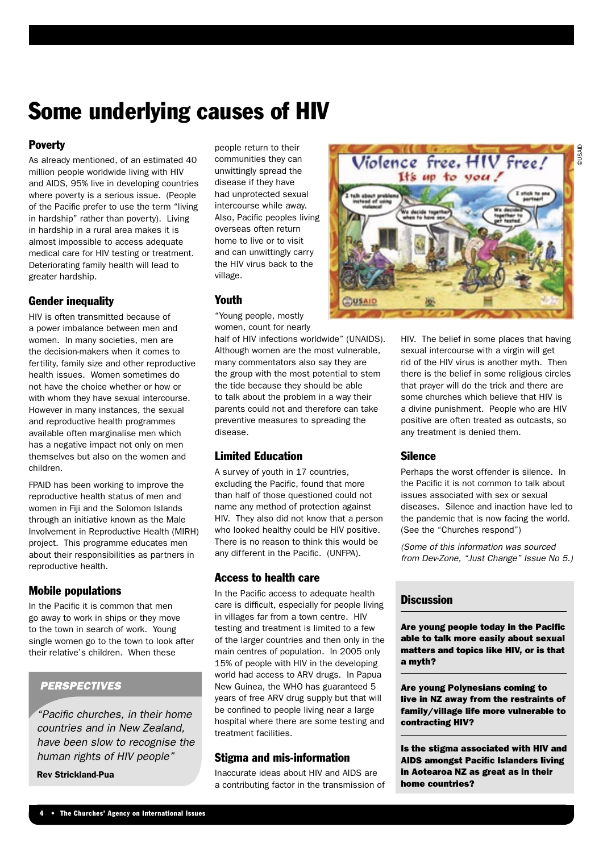### Some underlying causes of HIV

### **Poverty**

As already mentioned, of an estimated 40 million people worldwide living with HIV and AIDS, 95% live in developing countries where poverty is a serious issue. (People of the Pacific prefer to use the term "living in hardship" rather than poverty). Living in hardship in a rural area makes it is almost impossible to access adequate medical care for HIV testing or treatment. Deteriorating family health will lead to greater hardship.

### Gender inequality

HIV is often transmitted because of a power imbalance between men and women. In many societies, men are the decision-makers when it comes to fertility, family size and other reproductive health issues. Women sometimes do not have the choice whether or how or with whom they have sexual intercourse. However in many instances, the sexual and reproductive health programmes available often marginalise men which has a negative impact not only on men themselves but also on the women and children.

FPAID has been working to improve the reproductive health status of men and women in Fiji and the Solomon Islands through an initiative known as the Male Involvement in Reproductive Health (MIRH) project. This programme educates men about their responsibilities as partners in reproductive health.

### Mobile populations

In the Pacific it is common that men go away to work in ships or they move to the town in search of work. Young single women go to the town to look after their relative's children. When these

### **PERSPECTIVES**

"Pacific churches, in their home countries and in New Zealand, have been slow to recognise the human rights of HIV people"

Rev Strickland-Pua

people return to their communities they can unwittingly spread the disease if they have had unprotected sexual intercourse while away. Also, Pacific peoples living overseas often return home to live or to visit and can unwittingly carry the HIV virus back to the village.

### Youth

"Young people, mostly women, count for nearly

half of HIV infections worldwide" (UNAIDS). Although women are the most vulnerable, many commentators also say they are the group with the most potential to stem the tide because they should be able to talk about the problem in a way their parents could not and therefore can take preventive measures to spreading the disease.

### Limited Education

A survey of youth in 17 countries, excluding the Pacific, found that more than half of those questioned could not name any method of protection against HIV. They also did not know that a person who looked healthy could be HIV positive. There is no reason to think this would be any different in the Pacific. (UNFPA).

### Access to health care

In the Pacific access to adequate health care is difficult, especially for people living in villages far from a town centre. HIV testing and treatment is limited to a few of the larger countries and then only in the main centres of population. In 2005 only 15% of people with HIV in the developing world had access to ARV drugs. In Papua New Guinea, the WHO has guaranteed 5 years of free ARV drug supply but that will be confined to people living near a large hospital where there are some testing and treatment facilities.

### Stigma and mis-information

Inaccurate ideas about HIV and AIDS are a contributing factor in the transmission of



HIV. The belief in some places that having sexual intercourse with a virgin will get rid of the HIV virus is another myth. Then there is the belief in some religious circles that prayer will do the trick and there are some churches which believe that HIV is a divine punishment. People who are HIV positive are often treated as outcasts, so any treatment is denied them.

### **Silence**

Perhaps the worst offender is silence. In the Pacific it is not common to talk about issues associated with sex or sexual diseases. Silence and inaction have led to the pandemic that is now facing the world. (See the "Churches respond")

(Some of this information was sourced from Dev-Zone, "Just Change" Issue No 5.)

### **Discussion**

Are young people today in the Pacific able to talk more easily about sexual matters and topics like HIV, or is that a myth?

Are young Polynesians coming to live in NZ away from the restraints of family/village life more vulnerable to contracting HIV?

Is the stigma associated with HIV and AIDS amongst Pacific Islanders living in Aotearoa NZ as great as in their home countries?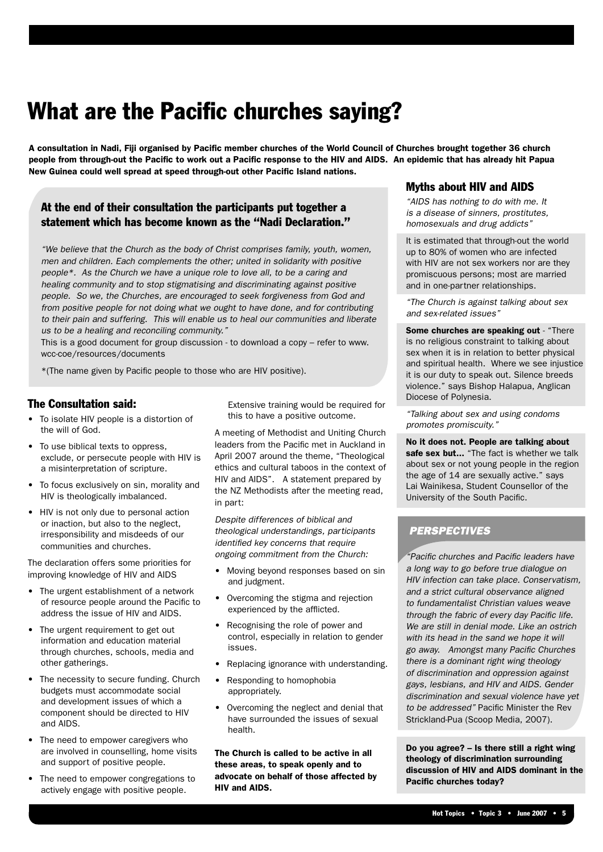## What are the Pacific churches saying?

A consultation in Nadi, Fiji organised by Pacific member churches of the World Council of Churches brought together 36 church people from through-out the Pacific to work out a Pacific response to the HIV and AIDS. An epidemic that has already hit Papua New Guinea could well spread at speed through-out other Pacific Island nations.

### At the end of their consultation the participants put together a statement which has become known as the "Nadi Declaration."

"We believe that the Church as the body of Christ comprises family, youth, women, men and children. Each complements the other; united in solidarity with positive people\*. As the Church we have a unique role to love all, to be a caring and healing community and to stop stigmatising and discriminating against positive people. So we, the Churches, are encouraged to seek forgiveness from God and from positive people for not doing what we ought to have done, and for contributing to their pain and suffering. This will enable us to heal our communities and liberate us to be a healing and reconciling community."

This is a good document for group discussion - to download a copy – refer to www. wcc-coe/resources/documents

\*(The name given by Pacific people to those who are HIV positive).

### The Consultation said:

- To isolate HIV people is a distortion of the will of God.
- To use biblical texts to oppress, exclude, or persecute people with HIV is a misinterpretation of scripture.
- To focus exclusively on sin, morality and HIV is theologically imbalanced.
- HIV is not only due to personal action or inaction, but also to the neglect, irresponsibility and misdeeds of our communities and churches.

The declaration offers some priorities for improving knowledge of HIV and AIDS

- The urgent establishment of a network of resource people around the Pacific to address the issue of HIV and AIDS.
- The urgent requirement to get out information and education material through churches, schools, media and other gatherings.
- The necessity to secure funding. Church budgets must accommodate social and development issues of which a component should be directed to HIV and AIDS.
- The need to empower caregivers who are involved in counselling, home visits and support of positive people.
- The need to empower congregations to actively engage with positive people.

Extensive training would be required for this to have a positive outcome.

A meeting of Methodist and Uniting Church leaders from the Pacific met in Auckland in April 2007 around the theme, "Theological ethics and cultural taboos in the context of HIV and AIDS". A statement prepared by the NZ Methodists after the meeting read, in part:

Despite differences of biblical and theological understandings, participants identified key concerns that require ongoing commitment from the Church:

- Moving beyond responses based on sin and judgment.
- Overcoming the stigma and rejection experienced by the afflicted.
- Recognising the role of power and control, especially in relation to gender issues.
- Replacing ignorance with understanding.
- Responding to homophobia appropriately.
- Overcoming the neglect and denial that have surrounded the issues of sexual health.

The Church is called to be active in all these areas, to speak openly and to advocate on behalf of those affected by HIV and AIDS.

### Myths about HIV and AIDS

"AIDS has nothing to do with me. It is a disease of sinners, prostitutes, homosexuals and drug addicts"

It is estimated that through-out the world up to 80% of women who are infected with HIV are not sex workers nor are they promiscuous persons; most are married and in one-partner relationships.

"The Church is against talking about sex and sex-related issues"

Some churches are speaking out - "There is no religious constraint to talking about sex when it is in relation to better physical and spiritual health. Where we see injustice it is our duty to speak out. Silence breeds violence." says Bishop Halapua, Anglican Diocese of Polynesia.

"Talking about sex and using condoms promotes promiscuity."

No it does not. People are talking about safe sex but... "The fact is whether we talk about sex or not young people in the region the age of 14 are sexually active." says Lai Wainikesa, Student Counsellor of the University of the South Pacific.

### **PERSPECTIVES**

"Pacific churches and Pacific leaders have a long way to go before true dialogue on HIV infection can take place. Conservatism, and a strict cultural observance aligned to fundamentalist Christian values weave through the fabric of every day Pacific life. We are still in denial mode. Like an ostrich with its head in the sand we hope it will go away. Amongst many Pacific Churches there is a dominant right wing theology of discrimination and oppression against gays, lesbians, and HIV and AIDS. Gender discrimination and sexual violence have yet to be addressed" Pacific Minister the Rev Strickland-Pua (Scoop Media, 2007).

Do you agree? – Is there still a right wing theology of discrimination surrounding discussion of HIV and AIDS dominant in the Pacific churches today?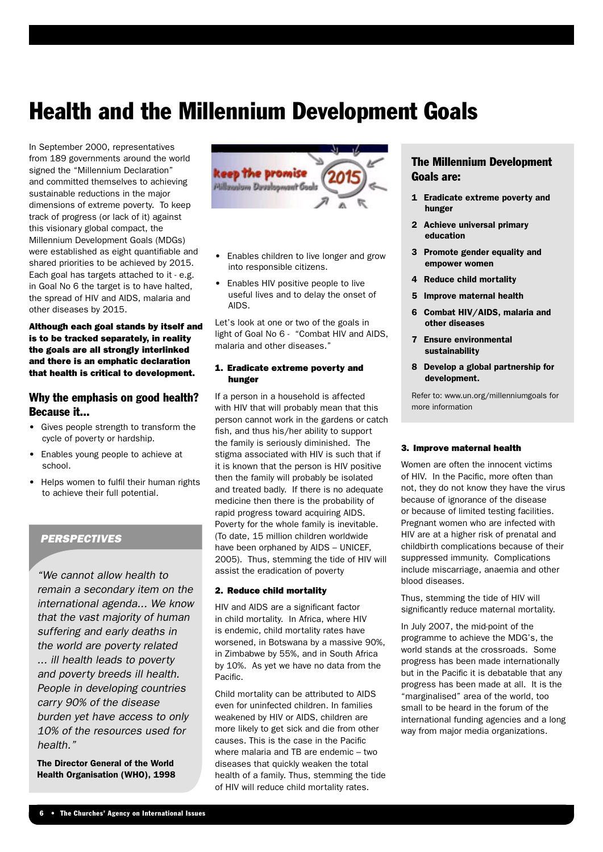### Health and the Millennium Development Goals

In September 2000, representatives from 189 governments around the world signed the "Millennium Declaration" and committed themselves to achieving sustainable reductions in the major dimensions of extreme poverty. To keep track of progress (or lack of it) against this visionary global compact, the Millennium Development Goals (MDGs) were established as eight quantifiable and shared priorities to be achieved by 2015. Each goal has targets attached to it - e.g. in Goal No 6 the target is to have halted, the spread of HIV and AIDS, malaria and other diseases by 2015.

Although each goal stands by itself and is to be tracked separately, in reality the goals are all strongly interlinked and there is an emphatic declaration that health is critical to development.

### Why the emphasis on good health? Because it...

- Gives people strength to transform the cycle of poverty or hardship.
- Enables young people to achieve at school.
- Helps women to fulfil their human rights to achieve their full potential.

### **PERSPECTIVES**

"We cannot allow health to remain a secondary item on the international agenda... We know that the vast majority of human suffering and early deaths in the world are poverty related ... ill health leads to poverty and poverty breeds ill health. People in developing countries carry 90% of the disease burden yet have access to only 10% of the resources used for health."

The Director General of the World Health Organisation (WHO), 1998



- Enables children to live longer and grow into responsible citizens.
- Enables HIV positive people to live useful lives and to delay the onset of AIDS.

Let's look at one or two of the goals in light of Goal No 6 - "Combat HIV and AIDS, malaria and other diseases."

#### 1. Eradicate extreme poverty and hunger

If a person in a household is affected with HIV that will probably mean that this person cannot work in the gardens or catch fish, and thus his/her ability to support the family is seriously diminished. The stigma associated with HIV is such that if it is known that the person is HIV positive then the family will probably be isolated and treated badly. If there is no adequate medicine then there is the probability of rapid progress toward acquiring AIDS. Poverty for the whole family is inevitable. (To date, 15 million children worldwide have been orphaned by AIDS – UNICEF, 2005). Thus, stemming the tide of HIV will assist the eradication of poverty

#### 2. Reduce child mortality

HIV and AIDS are a significant factor in child mortality. In Africa, where HIV is endemic, child mortality rates have worsened, in Botswana by a massive 90%, in Zimbabwe by 55%, and in South Africa by 10%. As yet we have no data from the Pacific.

Child mortality can be attributed to AIDS even for uninfected children. In families weakened by HIV or AIDS, children are more likely to get sick and die from other causes. This is the case in the Pacific where malaria and TB are endemic – two diseases that quickly weaken the total health of a family. Thus, stemming the tide of HIV will reduce child mortality rates.

### The Millennium Development Goals are:

- 1 Eradicate extreme poverty and hunger
- 2 Achieve universal primary education
- 3 Promote gender equality and empower women
- 4 Reduce child mortality
- 5 Improve maternal health
- 6 Combat HIV/AIDS, malaria and other diseases
- 7 Ensure environmental sustainability
- 8 Develop a global partnership for development.

Refer to: www.un.org/millenniumgoals for more information

#### 3. Improve maternal health

Women are often the innocent victims of HIV. In the Pacific, more often than not, they do not know they have the virus because of ignorance of the disease or because of limited testing facilities. Pregnant women who are infected with HIV are at a higher risk of prenatal and childbirth complications because of their suppressed immunity. Complications include miscarriage, anaemia and other blood diseases.

Thus, stemming the tide of HIV will significantly reduce maternal mortality.

In July 2007, the mid-point of the programme to achieve the MDG's, the world stands at the crossroads. Some progress has been made internationally but in the Pacific it is debatable that any progress has been made at all. It is the "marginalised" area of the world, too small to be heard in the forum of the international funding agencies and a long way from major media organizations.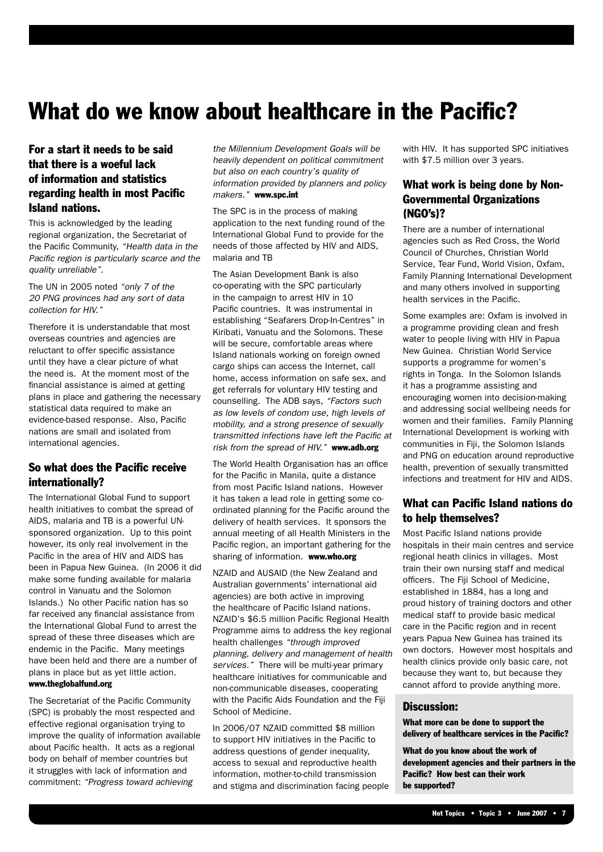### What do we know about healthcare in the Pacific?

### For a start it needs to be said that there is a woeful lack of information and statistics regarding health in most Pacific Island nations.

This is acknowledged by the leading regional organization, the Secretariat of the Pacific Community, "Health data in the Pacific region is particularly scarce and the quality unreliable".

The UN in 2005 noted "only 7 of the 20 PNG provinces had any sort of data collection for HIV."

Therefore it is understandable that most overseas countries and agencies are reluctant to offer specific assistance until they have a clear picture of what the need is. At the moment most of the financial assistance is aimed at getting plans in place and gathering the necessary statistical data required to make an evidence-based response. Also, Pacific nations are small and isolated from international agencies.

### So what does the Pacific receive internationally?

The International Global Fund to support health initiatives to combat the spread of AIDS, malaria and TB is a powerful UNsponsored organization. Up to this point however, its only real involvement in the Pacific in the area of HIV and AIDS has been in Papua New Guinea. (In 2006 it did make some funding available for malaria control in Vanuatu and the Solomon Islands.) No other Pacific nation has so far received any financial assistance from the International Global Fund to arrest the spread of these three diseases which are endemic in the Pacific. Many meetings have been held and there are a number of plans in place but as yet little action. www.theglobalfund.org

The Secretariat of the Pacific Community (SPC) is probably the most respected and effective regional organisation trying to improve the quality of information available about Pacific health. It acts as a regional body on behalf of member countries but it struggles with lack of information and commitment: "Progress toward achieving

the Millennium Development Goals will be heavily dependent on political commitment but also on each country's quality of information provided by planners and policy makers." www.spc.int

The SPC is in the process of making application to the next funding round of the International Global Fund to provide for the needs of those affected by HIV and AIDS, malaria and TB

The Asian Development Bank is also co-operating with the SPC particularly in the campaign to arrest HIV in 10 Pacific countries. It was instrumental in establishing "Seafarers Drop-In-Centres" in Kiribati, Vanuatu and the Solomons. These will be secure, comfortable areas where Island nationals working on foreign owned cargo ships can access the Internet, call home, access information on safe sex, and get referrals for voluntary HIV testing and counselling. The ADB says, "Factors such as low levels of condom use, high levels of mobility, and a strong presence of sexually transmitted infections have left the Pacific at risk from the spread of HIV." www.adb.org

The World Health Organisation has an office for the Pacific in Manila, quite a distance from most Pacific Island nations. However it has taken a lead role in getting some coordinated planning for the Pacific around the delivery of health services. It sponsors the annual meeting of all Health Ministers in the Pacific region, an important gathering for the sharing of information. www.who.org

NZAID and AUSAID (the New Zealand and Australian governments' international aid agencies) are both active in improving the healthcare of Pacific Island nations. NZAID's \$6.5 million Pacific Regional Health Programme aims to address the key regional health challenges "through improved planning, delivery and management of health services." There will be multi-year primary healthcare initiatives for communicable and non-communicable diseases, cooperating with the Pacific Aids Foundation and the Fiji School of Medicine.

In 2006/07 NZAID committed \$8 million to support HIV initiatives in the Pacific to address questions of gender inequality, access to sexual and reproductive health information, mother-to-child transmission and stigma and discrimination facing people with HIV. It has supported SPC initiatives with \$7.5 million over 3 years.

### What work is being done by Non-Governmental Organizations (NGO's)?

There are a number of international agencies such as Red Cross, the World Council of Churches, Christian World Service, Tear Fund, World Vision, Oxfam, Family Planning International Development and many others involved in supporting health services in the Pacific.

Some examples are: Oxfam is involved in a programme providing clean and fresh water to people living with HIV in Papua New Guinea. Christian World Service supports a programme for women's rights in Tonga. In the Solomon Islands it has a programme assisting and encouraging women into decision-making and addressing social wellbeing needs for women and their families. Family Planning International Development is working with communities in Fiji, the Solomon Islands and PNG on education around reproductive health, prevention of sexually transmitted infections and treatment for HIV and AIDS.

### What can Pacific Island nations do to help themselves?

Most Pacific Island nations provide hospitals in their main centres and service regional heath clinics in villages. Most train their own nursing staff and medical officers. The Fiji School of Medicine, established in 1884, has a long and proud history of training doctors and other medical staff to provide basic medical care in the Pacific region and in recent years Papua New Guinea has trained its own doctors. However most hospitals and health clinics provide only basic care, not because they want to, but because they cannot afford to provide anything more.

### Discussion:

What more can be done to support the delivery of healthcare services in the Pacific?

What do you know about the work of development agencies and their partners in the Pacific? How best can their work be supported?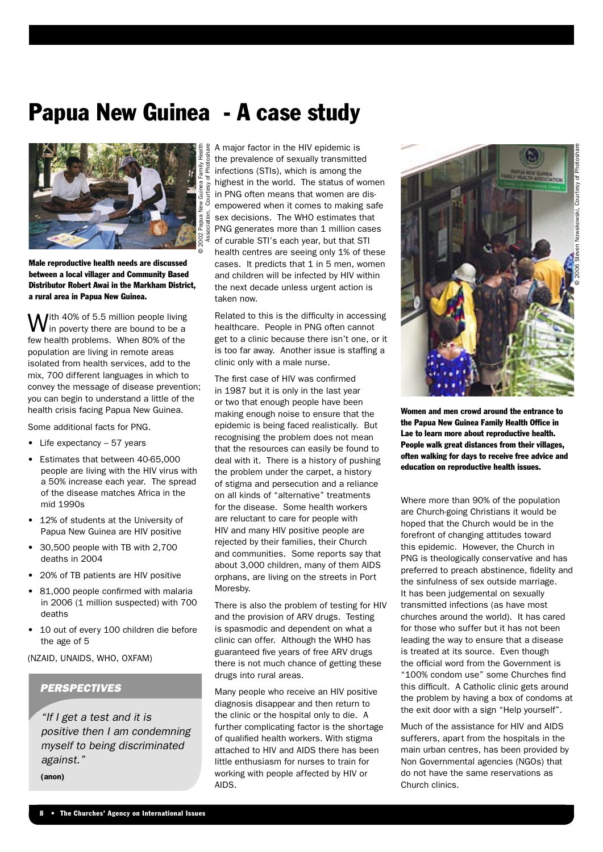# Papua New Guinea - A case study



Male reproductive health needs are discussed between a local villager and Community Based Distributor Robert Awai in the Markham District, a rural area in Papua New Guinea.

With 40% of 5.5 million people living<br>Win poverty there are bound to be a few health problems. When 80% of the population are living in remote areas isolated from health services, add to the mix, 700 different languages in which to convey the message of disease prevention; you can begin to understand a little of the health crisis facing Papua New Guinea.

Some additional facts for PNG.

- Life expectancy 57 years
- Estimates that between 40-65,000 people are living with the HIV virus with a 50% increase each year. The spread of the disease matches Africa in the mid 1990s
- 12% of students at the University of Papua New Guinea are HIV positive
- 30,500 people with TB with 2,700 deaths in 2004
- 20% of TB patients are HIV positive
- 81,000 people confirmed with malaria in 2006 (1 million suspected) with 700 deaths
- 10 out of every 100 children die before the age of 5

(NZAID, UNAIDS, WHO, OXFAM)

### **PERSPECTIVES**

"If I get a test and it is positive then I am condemning myself to being discriminated against."

(anon)

A major factor in the HIV epidemic is the prevalence of sexually transmitted infections (STIs), which is among the highest in the world. The status of women in PNG often means that women are disempowered when it comes to making safe sex decisions. The WHO estimates that PNG generates more than 1 million cases of curable STI's each year, but that STI health centres are seeing only 1% of these cases. It predicts that 1 in 5 men, women and children will be infected by HIV within the next decade unless urgent action is taken now.

Related to this is the difficulty in accessing healthcare. People in PNG often cannot get to a clinic because there isn't one, or it is too far away. Another issue is staffing a clinic only with a male nurse.

The first case of HIV was confirmed in 1987 but it is only in the last year or two that enough people have been making enough noise to ensure that the epidemic is being faced realistically. But recognising the problem does not mean that the resources can easily be found to deal with it. There is a history of pushing the problem under the carpet, a history of stigma and persecution and a reliance on all kinds of "alternative" treatments for the disease. Some health workers are reluctant to care for people with HIV and many HIV positive people are rejected by their families, their Church and communities. Some reports say that about 3,000 children, many of them AIDS orphans, are living on the streets in Port **Moresby** 

There is also the problem of testing for HIV and the provision of ARV drugs. Testing is spasmodic and dependent on what a clinic can offer. Although the WHO has guaranteed five years of free ARV drugs there is not much chance of getting these drugs into rural areas.

Many people who receive an HIV positive diagnosis disappear and then return to the clinic or the hospital only to die. A further complicating factor is the shortage of qualified health workers. With stigma attached to HIV and AIDS there has been little enthusiasm for nurses to train for working with people affected by HIV or AIDS.



Women and men crowd around the entrance to the Papua New Guinea Family Health Office in Lae to learn more about reproductive health. People walk great distances from their villages, often walking for days to receive free advice and education on reproductive health issues.

Where more than 90% of the population are Church-going Christians it would be hoped that the Church would be in the forefront of changing attitudes toward this epidemic. However, the Church in PNG is theologically conservative and has preferred to preach abstinence, fidelity and the sinfulness of sex outside marriage. It has been judgemental on sexually transmitted infections (as have most churches around the world). It has cared for those who suffer but it has not been leading the way to ensure that a disease is treated at its source. Even though the official word from the Government is "100% condom use" some Churches find this difficult. A Catholic clinic gets around the problem by having a box of condoms at the exit door with a sign "Help yourself".

Much of the assistance for HIV and AIDS sufferers, apart from the hospitals in the main urban centres, has been provided by Non Governmental agencies (NGOs) that do not have the same reservations as Church clinics.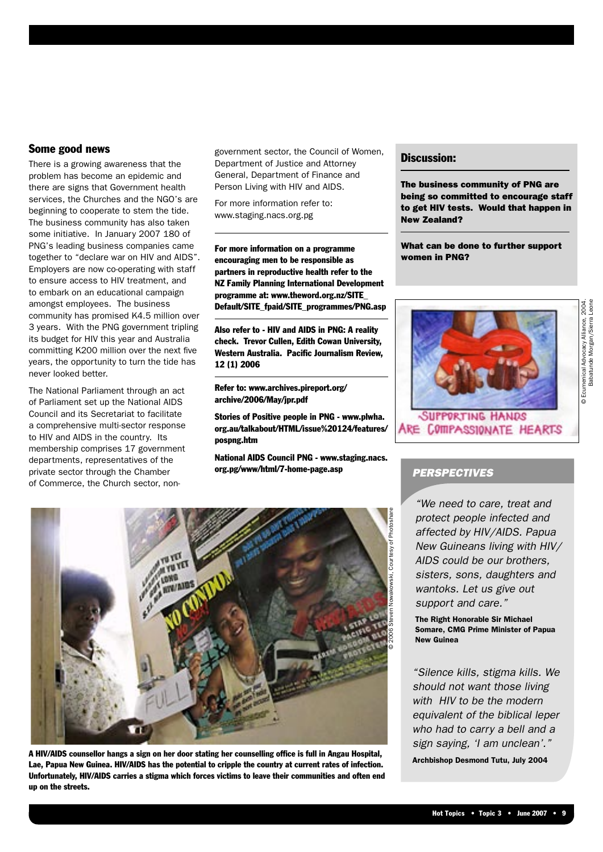### Some good news

There is a growing awareness that the problem has become an epidemic and there are signs that Government health services, the Churches and the NGO's are beginning to cooperate to stem the tide. The business community has also taken some initiative. In January 2007 180 of PNG's leading business companies came together to "declare war on HIV and AIDS". Employers are now co-operating with staff to ensure access to HIV treatment, and to embark on an educational campaign amongst employees. The business community has promised K4.5 million over 3 years. With the PNG government tripling its budget for HIV this year and Australia committing K200 million over the next five years, the opportunity to turn the tide has never looked better.

The National Parliament through an act of Parliament set up the National AIDS Council and its Secretariat to facilitate a comprehensive multi-sector response to HIV and AIDS in the country. Its membership comprises 17 government departments, representatives of the private sector through the Chamber of Commerce, the Church sector, nongovernment sector, the Council of Women, Department of Justice and Attorney General, Department of Finance and Person Living with HIV and AIDS.

For more information refer to: www.staging.nacs.org.pg

For more information on a programme encouraging men to be responsible as partners in reproductive health refer to the NZ Family Planning International Development programme at: www.theword.org.nz/SITE\_ Default/SITE\_fpaid/SITE\_programmes/PNG.asp

Also refer to - HIV and AIDS in PNG: A reality check. Trevor Cullen, Edith Cowan University, Western Australia. Pacific Journalism Review, 12 (1) 2006

Refer to: www.archives.pireport.org/ archive/2006/May/jpr.pdf

Stories of Positive people in PNG - www.plwha. org.au/talkabout/HTML/issue%20124/features/ pospng.htm

National AIDS Council PNG - www.staging.nacs. org.pg/www/html/7-home-page.asp



A HIV/AIDS counsellor hangs a sign on her door stating her counselling office is full in Angau Hospital, Lae, Papua New Guinea. HIV/AIDS has the potential to cripple the country at current rates of infection. Unfortunately, HIV/AIDS carries a stigma which forces victims to leave their communities and often end up on the streets.

### Discussion:

The business community of PNG are being so committed to encourage staff to get HIV tests. Would that happen in New Zealand?

What can be done to further support women in PNG?



### **PERSPECTIVES**

"We need to care, treat and protect people infected and affected by HIV/AIDS. Papua New Guineans living with HIV/ AIDS could be our brothers, sisters, sons, daughters and wantoks. Let us give out support and care."

The Right Honorable Sir Michael Somare, CMG Prime Minister of Papua New Guinea

"Silence kills, stigma kills. We should not want those living with HIV to be the modern equivalent of the biblical leper who had to carry a bell and a sign saying, 'I am unclean'."

Archbishop Desmond Tutu, July 2004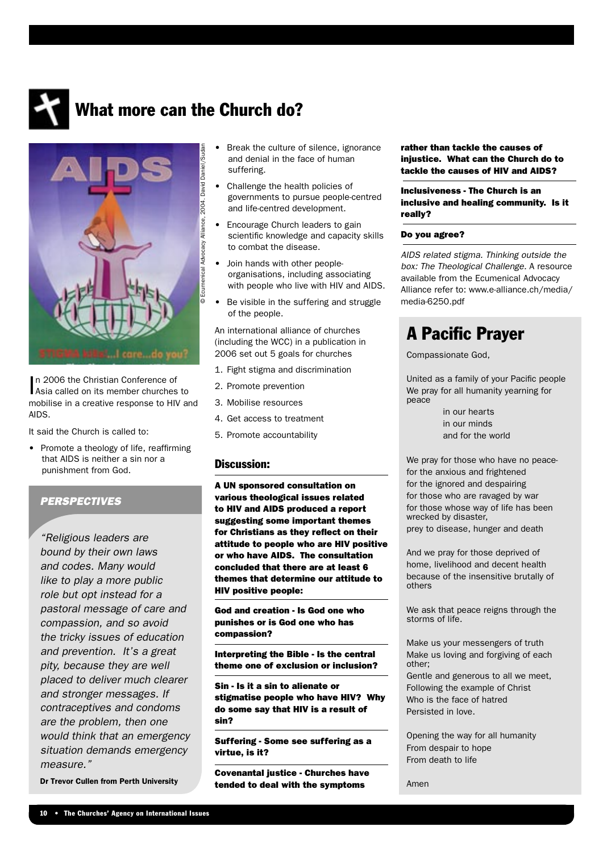

### What more can the Church do?



In 2006 the Christian Conference of<br>Asia called on its member churches to n 2006 the Christian Conference of mobilise in a creative response to HIV and AIDS.

It said the Church is called to:

• Promote a theology of life, reaffirming that AIDS is neither a sin nor a punishment from God.

### **PERSPECTIVES**

"Religious leaders are bound by their own laws and codes. Many would like to play a more public role but opt instead for a pastoral message of care and compassion, and so avoid the tricky issues of education and prevention. It's a great pity, because they are well placed to deliver much clearer and stronger messages. If contraceptives and condoms are the problem, then one would think that an emergency situation demands emergency measure."

Dr Trevor Cullen from Perth University

- Break the culture of silence, ignorance and denial in the face of human suffering.
- Challenge the health policies of governments to pursue people-centred and life-centred development.
- Encourage Church leaders to gain scientific knowledge and capacity skills to combat the disease.
- Join hands with other peopleorganisations, including associating with people who live with HIV and AIDS.
- Be visible in the suffering and struggle of the people.

An international alliance of churches (including the WCC) in a publication in 2006 set out 5 goals for churches

- 1. Fight stigma and discrimination
- 2. Promote prevention
- 3. Mobilise resources
- 4. Get access to treatment
- 5. Promote accountability

### Discussion:

A UN sponsored consultation on various theological issues related to HIV and AIDS produced a report suggesting some important themes for Christians as they reflect on their attitude to people who are HIV positive or who have AIDS. The consultation concluded that there are at least 6 themes that determine our attitude to HIV positive people:

God and creation - Is God one who punishes or is God one who has compassion?

Interpreting the Bible - Is the central theme one of exclusion or inclusion?

Sin - Is it a sin to alienate or stigmatise people who have HIV? Why do some say that HIV is a result of sin?

Suffering - Some see suffering as a virtue, is it?

Covenantal justice - Churches have tended to deal with the symptoms

rather than tackle the causes of injustice. What can the Church do to tackle the causes of HIV and AIDS?

Inclusiveness - The Church is an inclusive and healing community. Is it really?

#### Do you agree?

AIDS related stigma. Thinking outside the box: The Theological Challenge. A resource available from the Ecumenical Advocacy Alliance refer to: www.e-alliance.ch/media/ media-6250.pdf

### A Pacific Prayer

Compassionate God,

United as a family of your Pacific people We pray for all humanity yearning for peace

> in our hearts in our minds and for the world

We pray for those who have no peacefor the anxious and frightened for the ignored and despairing for those who are ravaged by war for those whose way of life has been wrecked by disaster, prey to disease, hunger and death

And we pray for those deprived of home, livelihood and decent health because of the insensitive brutally of others

We ask that peace reigns through the storms of life.

Make us your messengers of truth Make us loving and forgiving of each other;

Gentle and generous to all we meet, Following the example of Christ Who is the face of hatred Persisted in love.

Opening the way for all humanity From despair to hope From death to life

Amen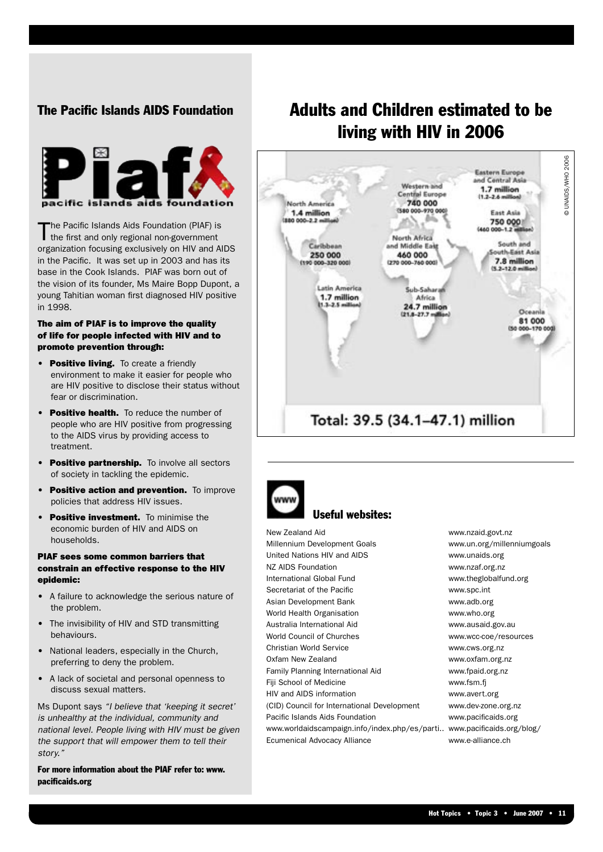### The Pacific Islands AIDS Foundation



The Pacific Islands Aids Foundation (PIAF) is<br>the first and only regional non-government organization focusing exclusively on HIV and AIDS in the Pacific. It was set up in 2003 and has its base in the Cook Islands. PIAF was born out of the vision of its founder, Ms Maire Bopp Dupont, a young Tahitian woman first diagnosed HIV positive in 1998.

### The aim of PIAF is to improve the quality of life for people infected with HIV and to promote prevention through:

- **Positive living.** To create a friendly environment to make it easier for people who are HIV positive to disclose their status without fear or discrimination.
- Positive health. To reduce the number of people who are HIV positive from progressing to the AIDS virus by providing access to treatment.
- Positive partnership. To involve all sectors of society in tackling the epidemic.
- Positive action and prevention. To improve policies that address HIV issues.
- **Positive investment.** To minimise the economic burden of HIV and AIDS on households.

### PIAF sees some common barriers that constrain an effective response to the HIV epidemic:

- A failure to acknowledge the serious nature of the problem.
- The invisibility of HIV and STD transmitting behaviours.
- National leaders, especially in the Church, preferring to deny the problem.
- A lack of societal and personal openness to discuss sexual matters.

Ms Dupont says "I believe that 'keeping it secret' is unhealthy at the individual, community and national level. People living with HIV must be given the support that will empower them to tell their story<sup>"</sup>

For more information about the PIAF refer to: www. pacificaids.org

### Adults and Children estimated to be living with HIV in 2006





### Useful websites:

New Zealand Aid www.nzaid.govt.nz Millennium Development Goals www.un.org/millenniumgoals United Nations HIV and AIDS www.unaids.org NZ AIDS Foundation www.nzaf.org.nz International Global Fund www.theglobalfund.org Secretariat of the Pacific **WALK CONSERVING WARE SECRETE** WWW.Spc.int Asian Development Bank www.adb.org World Health Organisation www.who.org Australia International Aid www.ausaid.gov.au World Council of Churches www.wcc-coe/resources Christian World Service www.cws.org.nz Oxfam New Zealand www.oxfam.org.nz Family Planning International Aid www.fpaid.org.nz Fiji School of Medicine www.fsm.fi HIV and AIDS information www.avert.org (CID) Council for International Development www.dev-zone.org.nz Pacific Islands Aids Foundation www.pacificaids.org www.worldaidscampaign.info/index.php/es/parti.. www.pacificaids.org/blog/ Ecumenical Advocacy Alliance www.e-alliance.ch